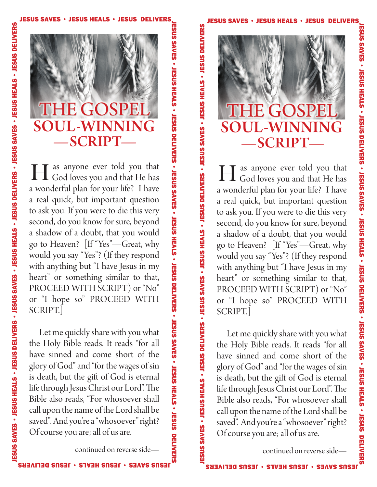S

m



T as anyone ever told you that **H** as anyone ever told you that God loves you and that He has a wonderful plan for your life? I have a real quick, but important question to ask you. If you were to die this very second, do you know for sure, beyond a shadow of a doubt, that you would go to Heaven? [If "Yes"—Great, why would you say "Yes"? (If they respond with anything but "I have Jesus in my heart" or something similar to that, PROCEED WITH SCRIPT) or "No" or "I hope so" PROCEED WITH SCRIPT.]

 Let me quickly share with you what the Holy Bible reads. It reads "for all have sinned and come short of the glory of God" and "for the wages of sin is death, but the gift of God is eternal life through Jesus Christ our Lord". The Bible also reads, "For whosoever shall call upon the name of the Lord shall be saved". And you're a "whosoever" right? Of course you are; all of us are.

continued on reverse side—

**Jereman** 

ES U S

SAVES • JESUS

H E A

LS • JE S U S

D

E LIV E R

S • JE S U S

SAVES • JESUS

H E A

LS • JE S U S

D

E LIV E R

S • JE S U S

SAVES • JESUS

H E A

LS • JE S U S

 $\blacksquare$ 

E LIV E R

S

<u>ທ</u> <u>ഗ</u> S AV ES • JE S US HEALS • JE S US DELIV ERS • JE S U S SAVES • JESUS H E A LS • JE S U S D E LIV E R S • JE S U S SAVES • JESUS H E A LS • JE S U S D E LIV E R n,

S U S

SAVES<br>SAVES

JE S U S

H E A LS •

JE S U S

**DELIVERS** 

JE S U S

SAVES<br>SAVES

JE S U S

H E A LS •

JE S U S

DELIVERS<br>•

JE S U S

S AV E S •

JE S U S

H E A LS •

JE S U S

DELNEVS<br>E

**Jereman** 

n



 as anyone ever told you that **H** as anyone ever told you that God loves you and that He has a wonderful plan for your life? I have a real quick, but important question to ask you. If you were to die this very second, do you know for sure, beyond a shadow of a doubt, that you would go to Heaven? [If "Yes"—Great, why would you say "Yes"? (If they respond with anything but "I have Jesus in my heart" or something similar to that, PROCEED WITH SCRIPT) or "No" or "I hope so" PROCEED WITH SCRIPT.]

 Let me quickly share with you what the Holy Bible reads. It reads "for all have sinned and come short of the glory of God" and "for the wages of sin is death, but the gift of God is eternal life through Jesus Christ our Lord". The Bible also reads, "For whosoever shall call upon the name of the Lord shall be saved". And you're a "whosoever" right? Of course you are; all of us are.

continued on reverse side—